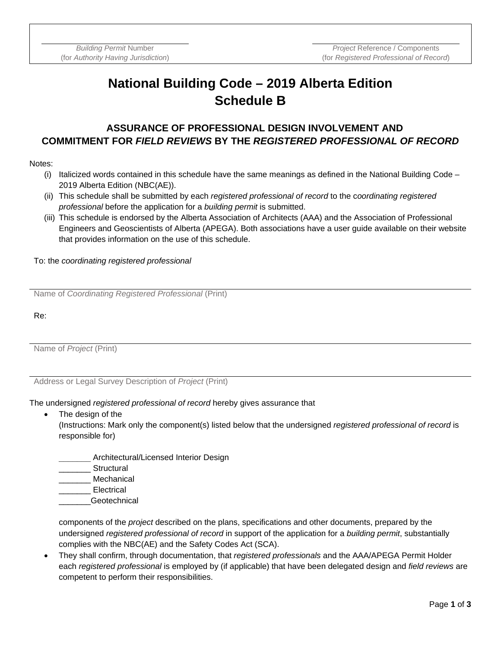## **National Building Code – 2019 Alberta Edition Schedule B**

## **ASSURANCE OF PROFESSIONAL DESIGN INVOLVEMENT AND COMMITMENT FOR** *FIELD REVIEWS* **BY THE** *REGISTERED PROFESSIONAL OF RECORD*

Notes:

- (i) Italicized words contained in this schedule have the same meanings as defined in the National Building Code 2019 Alberta Edition (NBC(AE)).
- (ii) This schedule shall be submitted by each *registered professional of record* to the c*oordinating registered professional* before the application for a *building permit* is submitted.
- (iii) This schedule is endorsed by the Alberta Association of Architects (AAA) and the Association of Professional Engineers and Geoscientists of Alberta (APEGA). Both associations have a user guide available on their website that provides information on the use of this schedule.

To: the *coordinating registered professional*

Name of *Coordinating Registered Professional* (Print)

Re:

Name of *Project* (Print)

Address or Legal Survey Description of *Project* (Print)

The undersigned *registered professional of record* hereby gives assurance that

The design of the

(Instructions: Mark only the component(s) listed below that the undersigned *registered professional of record* is responsible for)

Architectural/Licensed Interior Design

**Structural** 

\_\_\_\_\_\_\_ Mechanical

**Electrical** 

\_\_\_\_\_\_\_Geotechnical

components of the *project* described on the plans, specifications and other documents, prepared by the undersigned *registered professional of record* in support of the application for a *building permit*, substantially complies with the NBC(AE) and the Safety Codes Act (SCA).

• They shall confirm, through documentation, that *registered professionals* and the AAA/APEGA Permit Holder each *registered professional* is employed by (if applicable) that have been delegated design and *field reviews* are competent to perform their responsibilities.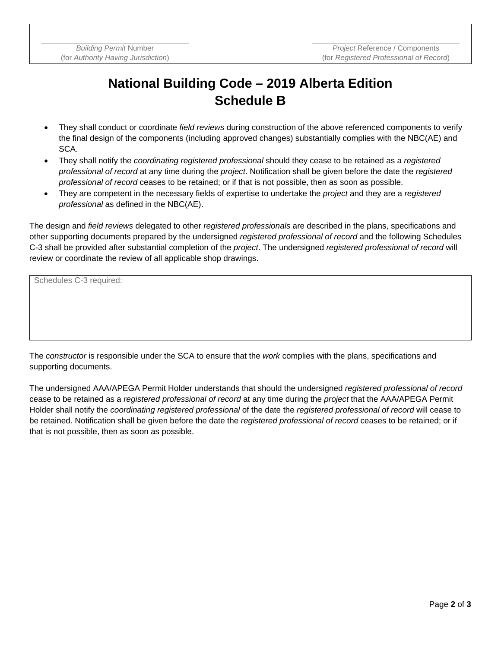## **National Building Code – 2019 Alberta Edition Schedule B**

- They shall conduct or coordinate *field reviews* during construction of the above referenced components to verify the final design of the components (including approved changes) substantially complies with the NBC(AE) and SCA.
- They shall notify the *coordinating registered professional* should they cease to be retained as a *registered professional of record* at any time during the *project*. Notification shall be given before the date the *registered professional of record* ceases to be retained; or if that is not possible, then as soon as possible.
- They are competent in the necessary fields of expertise to undertake the *project* and they are a *registered professional* as defined in the NBC(AE).

The design and *field reviews* delegated to other *registered professionals* are described in the plans, specifications and other supporting documents prepared by the undersigned *registered professional of record* and the following Schedules C-3 shall be provided after substantial completion of the *project*. The undersigned *registered professional of record* will review or coordinate the review of all applicable shop drawings.

Schedules C-3 required:

The *constructor* is responsible under the SCA to ensure that the *work* complies with the plans, specifications and supporting documents.

The undersigned AAA/APEGA Permit Holder understands that should the undersigned *registered professional of record* cease to be retained as a *registered professional of record* at any time during the *project* that the AAA/APEGA Permit Holder shall notify the *coordinating registered professional* of the date the *registered professional of record* will cease to be retained. Notification shall be given before the date the *registered professional of record* ceases to be retained; or if that is not possible, then as soon as possible.